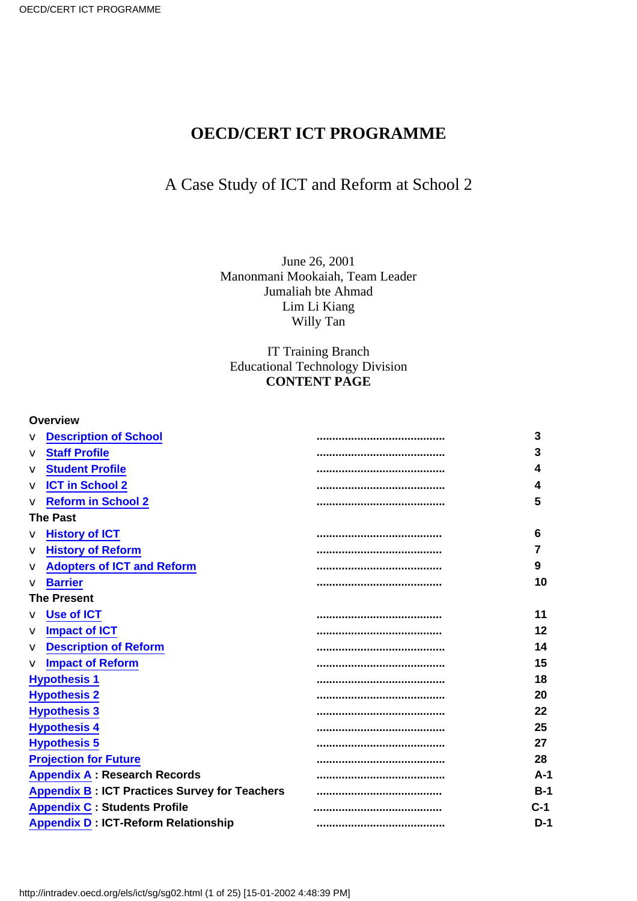### **OECD/CERT ICT PROGRAMME**

## A Case Study of ICT and Reform at School 2

June 26, 2001 Manonmani Mookaiah, Team Leader Jumaliah bte Ahmad Lim Li Kiang Willy Tan

IT Training Branch Educational Technology Division **CONTENT PAGE**

| Overview                                             |                                    |         |
|------------------------------------------------------|------------------------------------|---------|
| <b>v</b> Description of School                       |                                    | 3       |
| <b>v</b> Staff Profile                               |                                    | 3       |
| <b>v</b> Student Profile                             |                                    | 4       |
| $\mathbf v$ ICT in School 2                          |                                    | 4       |
| v Reform in School 2                                 |                                    | 5       |
| <b>The Past</b>                                      |                                    |         |
| v History of ICT                                     |                                    | 6       |
| v History of Reform                                  |                                    | 7       |
| v Adopters of ICT and Reform                         |                                    | 9       |
| $\mathbf v$ Barrier                                  |                                    | 10      |
| <b>The Present</b>                                   |                                    |         |
| v Use of ICT                                         |                                    | 11      |
| $\mathbf v$ Impact of ICT                            |                                    | $12 \,$ |
| <b>v</b> Description of Reform                       |                                    | 14      |
| v Impact of Reform                                   |                                    | 15      |
| <b>Hypothesis 1</b>                                  |                                    | 18      |
| <b>Hypothesis 2</b>                                  |                                    | 20      |
| <b>Hypothesis 3</b>                                  |                                    | 22      |
| <b>Hypothesis 4</b>                                  |                                    | 25      |
| <b>Hypothesis 5</b>                                  |                                    | 27      |
| <b>Projection for Future</b>                         | ,,,,,,,,,,,,,,,,,,,,,,,,,,,,,,,,,, | 28      |
| <b>Appendix A: Research Records</b>                  |                                    | $A-1$   |
| <b>Appendix B: ICT Practices Survey for Teachers</b> |                                    | $B-1$   |
| <b>Appendix C: Students Profile</b>                  |                                    | $C-1$   |
| <b>Appendix D: ICT-Reform Relationship</b>           |                                    | $D-1$   |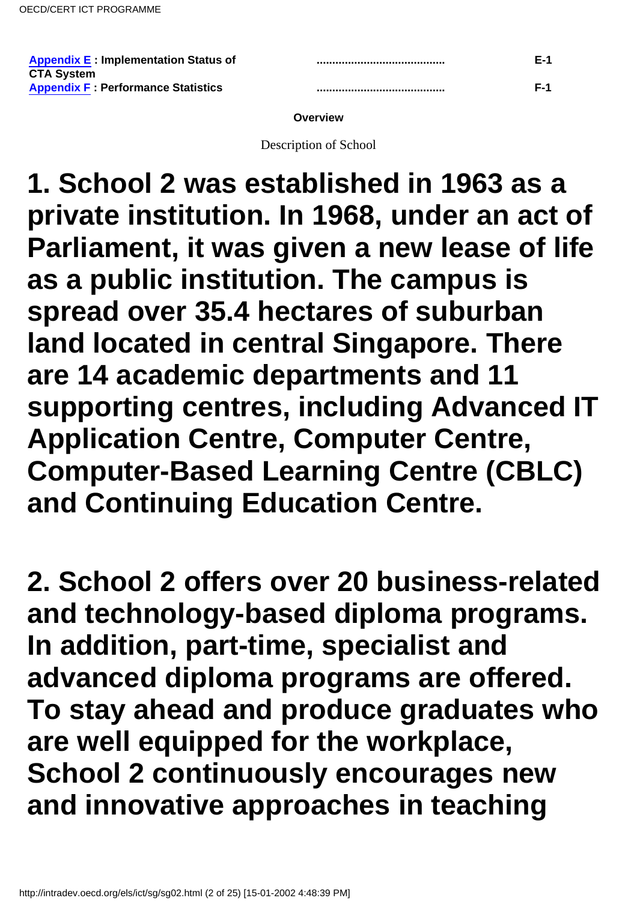| <b>Appendix E: Implementation Status of</b> | F-1   |
|---------------------------------------------|-------|
| <b>CTA System</b>                           |       |
| <b>Appendix F: Performance Statistics</b>   | $F-1$ |

#### **Overview**

Description of School

<span id="page-1-0"></span>**1. School 2 was established in 1963 as a private institution. In 1968, under an act of Parliament, it was given a new lease of life as a public institution. The campus is spread over 35.4 hectares of suburban land located in central Singapore. There are 14 academic departments and 11 supporting centres, including Advanced IT Application Centre, Computer Centre, Computer-Based Learning Centre (CBLC) and Continuing Education Centre.**

**2. School 2 offers over 20 business-related and technology-based diploma programs. In addition, part-time, specialist and advanced diploma programs are offered. To stay ahead and produce graduates who are well equipped for the workplace, School 2 continuously encourages new and innovative approaches in teaching**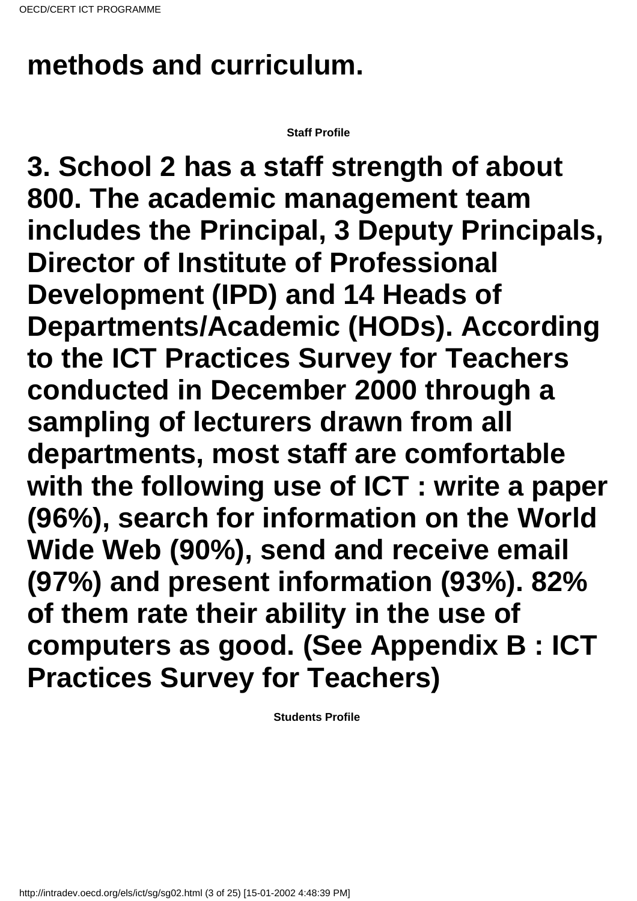# **methods and curriculum.**

**Staff Profile**

<span id="page-2-0"></span>**3. School 2 has a staff strength of about 800. The academic management team includes the Principal, 3 Deputy Principals, Director of Institute of Professional Development (IPD) and 14 Heads of Departments/Academic (HODs). According to the ICT Practices Survey for Teachers conducted in December 2000 through a sampling of lecturers drawn from all departments, most staff are comfortable with the following use of ICT : write a paper (96%), search for information on the World Wide Web (90%), send and receive email (97%) and present information (93%). 82% of them rate their ability in the use of computers as good. (See Appendix B : ICT Practices Survey for Teachers)**

<span id="page-2-1"></span>**Students Profile**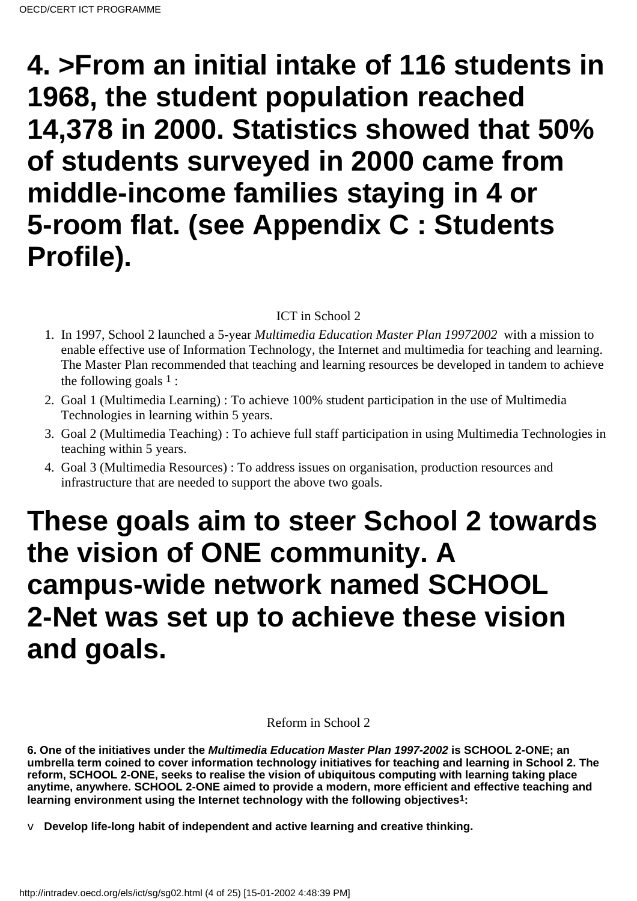# **4. >From an initial intake of 116 students in 1968, the student population reached 14,378 in 2000. Statistics showed that 50% of students surveyed in 2000 came from middle-income families staying in 4 or 5-room flat. (see Appendix C : Students Profile).**

### ICT in School 2

- <span id="page-3-0"></span>1. In 1997, School 2 launched a 5-year Multimedia Education Master Plan 1997 2002 with a mission to enable effective use of Information Technology, the Internet and multimedia for teaching and learning. The Master Plan recommended that teaching and learning resources be developed in tandem to achieve the following goals  $1$ :
- 2. Goal 1 (Multimedia Learning): To achieve 100% student participation in the use of Multimedia Technologies in learning within 5 years.
- 3. Goal 2 (Multimedia Teaching) : To achieve full staff participation in using Multimedia Technologies in teaching within 5 years.
- Goal 3 (Multimedia Resources) : To address issues on organisation, production resources and 4. infrastructure that are needed to support the above two goals.

# **These goals aim to steer School 2 towards the vision of ONE community. A campus-wide network named SCHOOL 2-Net was set up to achieve these vision and goals.**

### Reform in School 2

<span id="page-3-1"></span>**6. One of the initiatives under the Multimedia Education Master Plan 1997-2002 is SCHOOL 2-ONE; an umbrella term coined to cover information technology initiatives for teaching and learning in School 2. The reform, SCHOOL 2-ONE, seeks to realise the vision of ubiquitous computing with learning taking place anytime, anywhere. SCHOOL 2-ONE aimed to provide a modern, more efficient and effective teaching and learning environment using the Internet technology with the following objectives1:**

v **Develop life-long habit of independent and active learning and creative thinking.**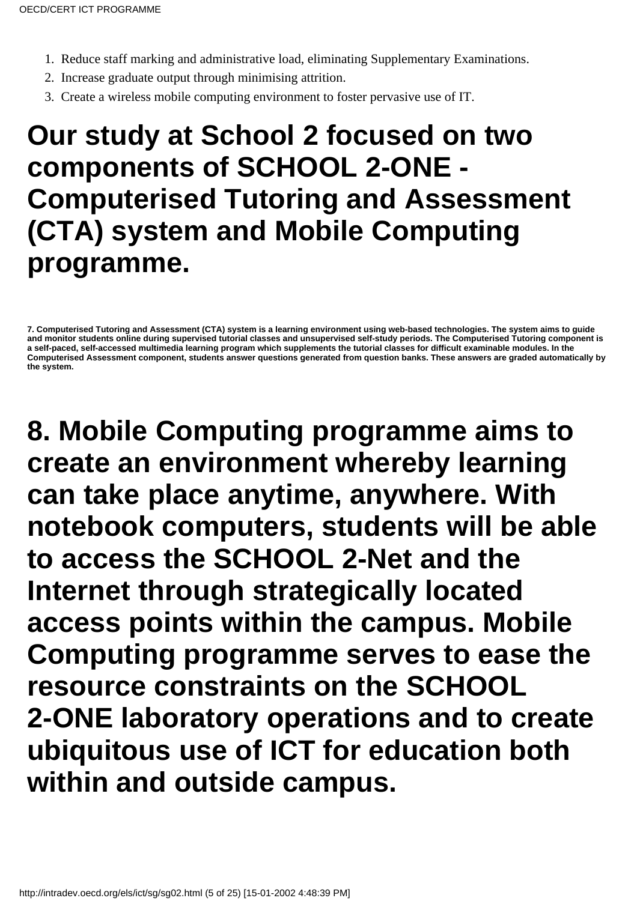- 1. Reduce staff marking and administrative load, eliminating Supplementary Examinations.
- 2. Increase graduate output through minimising attrition.
- 3. Create a wireless mobile computing environment to foster pervasive use of IT.

# **Our study at School 2 focused on two components of SCHOOL 2-ONE - Computerised Tutoring and Assessment (CTA) system and Mobile Computing programme.**

**8. Mobile Computing programme aims to create an environment whereby learning can take place anytime, anywhere. With notebook computers, students will be able to access the SCHOOL 2-Net and the Internet through strategically located access points within the campus. Mobile Computing programme serves to ease the resource constraints on the SCHOOL 2-ONE laboratory operations and to create ubiquitous use of ICT for education both within and outside campus.**

**<sup>7.</sup> Computerised Tutoring and Assessment (CTA) system is a learning environment using web-based technologies. The system aims to guide and monitor students online during supervised tutorial classes and unsupervised self-study periods. The Computerised Tutoring component is a self-paced, self-accessed multimedia learning program which supplements the tutorial classes for difficult examinable modules. In the Computerised Assessment component, students answer questions generated from question banks. These answers are graded automatically by the system.**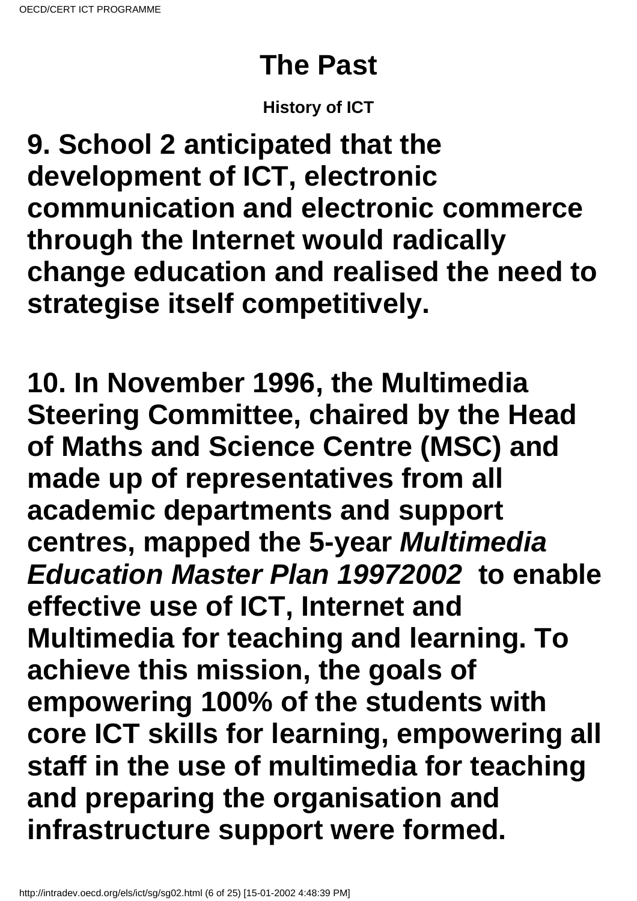# **The Past**

## **History of ICT**

<span id="page-5-0"></span>**9. School 2 anticipated that the development of ICT, electronic communication and electronic commerce through the Internet would radically change education and realised the need to strategise itself competitively.**

**10. In November 1996, the Multimedia Steering Committee, chaired by the Head of Maths and Science Centre (MSC) and made up of representatives from all academic departments and support centres, mapped the 5-year Multimedia Education Master Plan 19972002 to enable effective use of ICT, Internet and Multimedia for teaching and learning. To achieve this mission, the goals of empowering 100% of the students with core ICT skills for learning, empowering all staff in the use of multimedia for teaching and preparing the organisation and infrastructure support were formed.**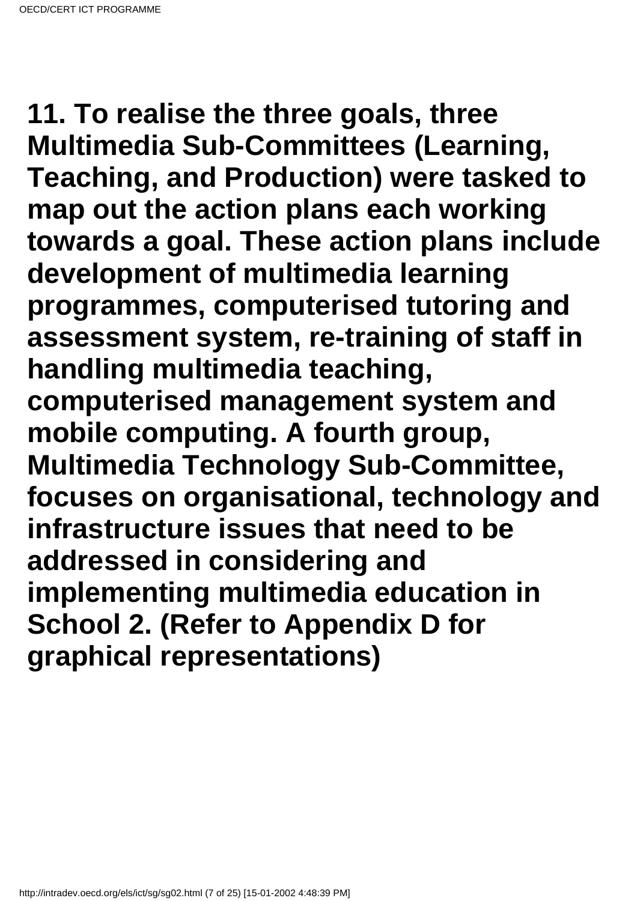**11. To realise the three goals, three Multimedia Sub-Committees (Learning, Teaching, and Production) were tasked to map out the action plans each working towards a goal. These action plans include development of multimedia learning programmes, computerised tutoring and assessment system, re-training of staff in handling multimedia teaching, computerised management system and mobile computing. A fourth group, Multimedia Technology Sub-Committee, focuses on organisational, technology and infrastructure issues that need to be addressed in considering and implementing multimedia education in School 2. (Refer to Appendix D for graphical representations)**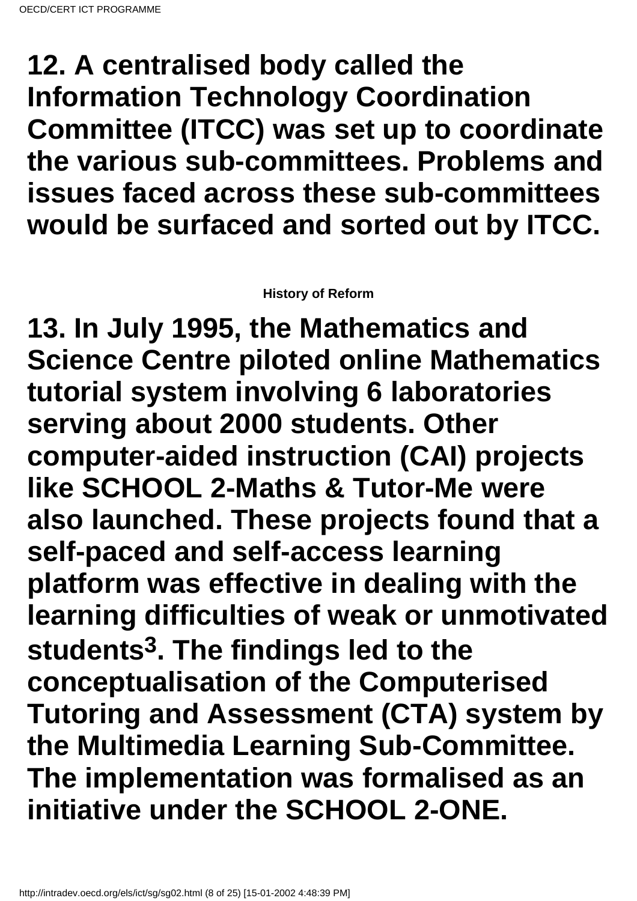## **12. A centralised body called the Information Technology Coordination Committee (ITCC) was set up to coordinate the various sub-committees. Problems and issues faced across these sub-committees would be surfaced and sorted out by ITCC.**

### **History of Reform**

<span id="page-7-0"></span>**13. In July 1995, the Mathematics and Science Centre piloted online Mathematics tutorial system involving 6 laboratories serving about 2000 students. Other computer-aided instruction (CAI) projects like SCHOOL 2-Maths & Tutor-Me were also launched. These projects found that a self-paced and self-access learning platform was effective in dealing with the learning difficulties of weak or unmotivated students3. The findings led to the conceptualisation of the Computerised Tutoring and Assessment (CTA) system by the Multimedia Learning Sub-Committee. The implementation was formalised as an initiative under the SCHOOL 2-ONE.**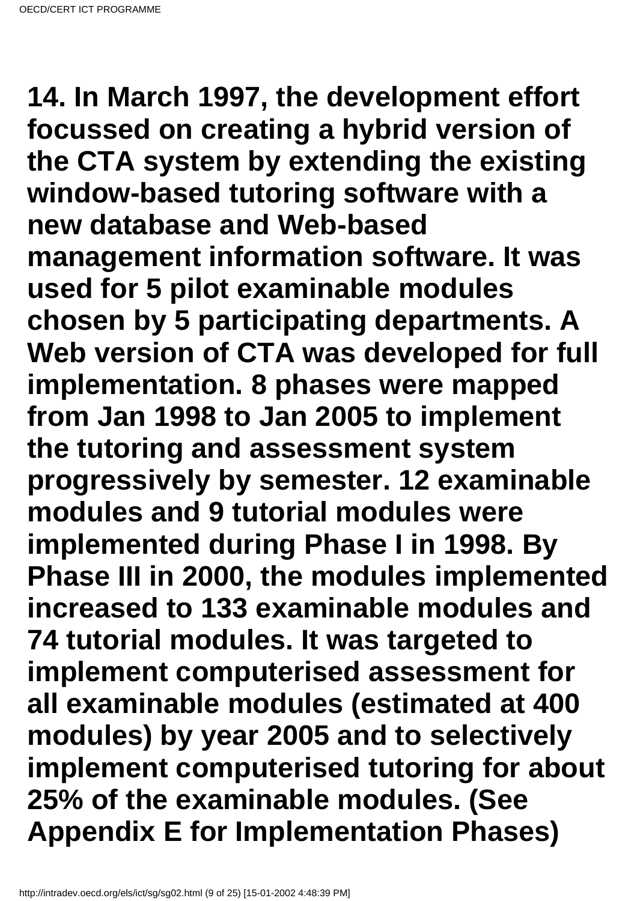**14. In March 1997, the development effort focussed on creating a hybrid version of the CTA system by extending the existing window-based tutoring software with a new database and Web-based management information software. It was used for 5 pilot examinable modules chosen by 5 participating departments. A Web version of CTA was developed for full implementation. 8 phases were mapped from Jan 1998 to Jan 2005 to implement the tutoring and assessment system progressively by semester. 12 examinable modules and 9 tutorial modules were implemented during Phase I in 1998. By Phase III in 2000, the modules implemented increased to 133 examinable modules and 74 tutorial modules. It was targeted to implement computerised assessment for all examinable modules (estimated at 400 modules) by year 2005 and to selectively implement computerised tutoring for about 25% of the examinable modules. (See Appendix E for Implementation Phases)**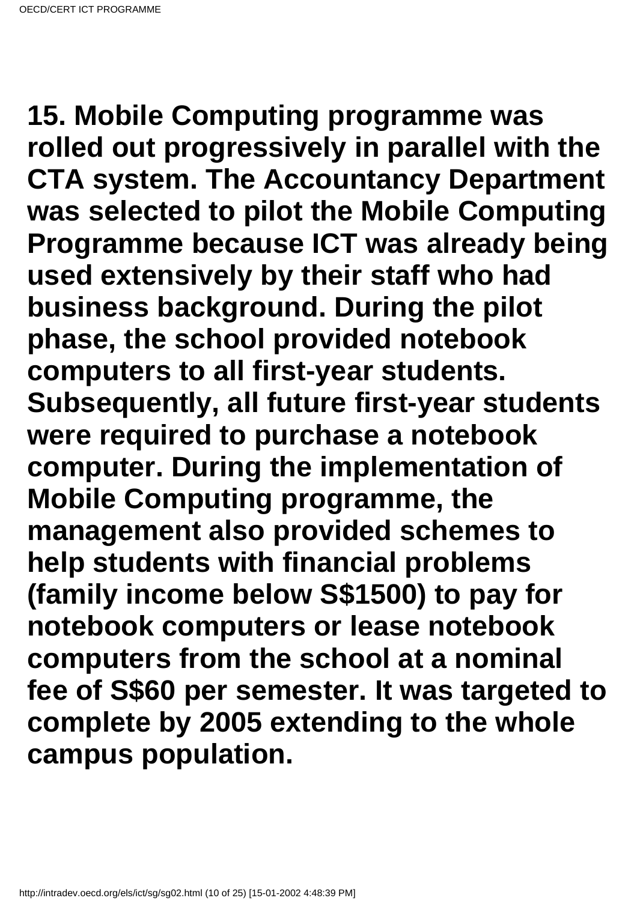**15. Mobile Computing programme was rolled out progressively in parallel with the CTA system. The Accountancy Department was selected to pilot the Mobile Computing Programme because ICT was already being used extensively by their staff who had business background. During the pilot phase, the school provided notebook computers to all first-year students. Subsequently, all future first-year students were required to purchase a notebook computer. During the implementation of Mobile Computing programme, the management also provided schemes to help students with financial problems (family income below S\$1500) to pay for notebook computers or lease notebook computers from the school at a nominal fee of S\$60 per semester. It was targeted to complete by 2005 extending to the whole campus population.**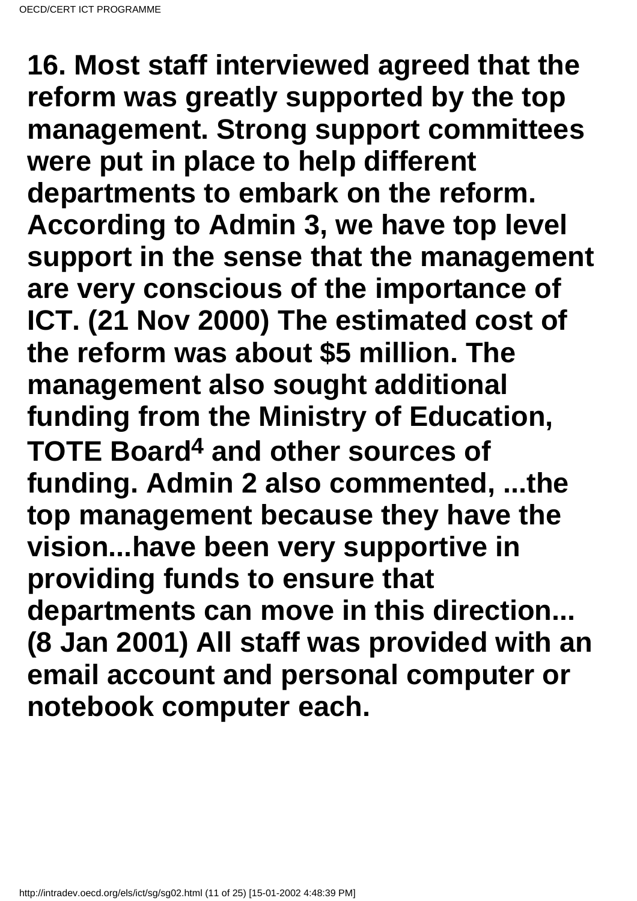**16. Most staff interviewed agreed that the reform was greatly supported by the top management. Strong support committees were put in place to help different departments to embark on the reform. According to Admin 3, we have top level support in the sense that the management are very conscious of the importance of ICT. (21 Nov 2000) The estimated cost of the reform was about \$5 million. The management also sought additional funding from the Ministry of Education, TOTE Board4 and other sources of funding. Admin 2 also commented, ...the top management because they have the vision...have been very supportive in providing funds to ensure that departments can move in this direction... (8 Jan 2001) All staff was provided with an email account and personal computer or notebook computer each.**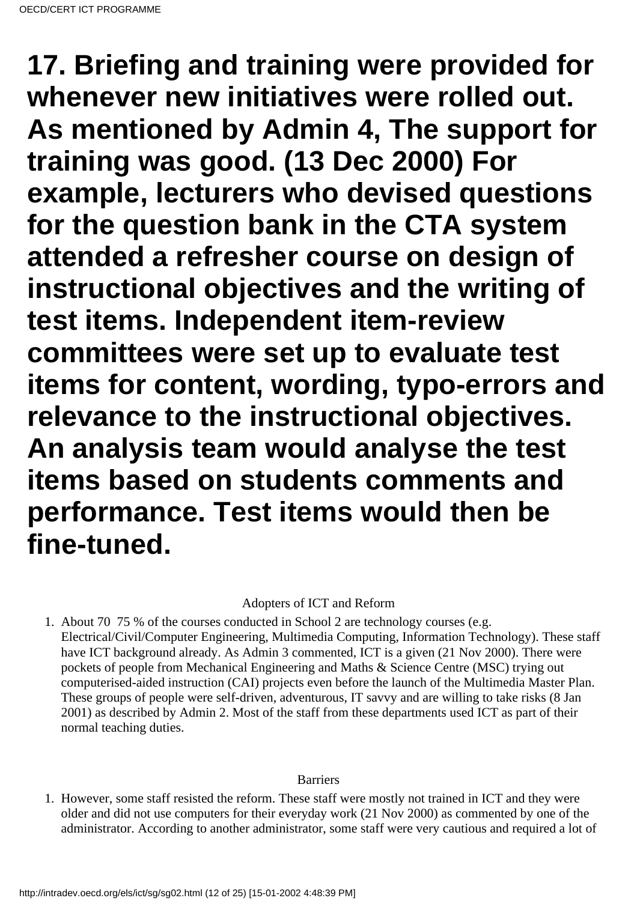**17. Briefing and training were provided for whenever new initiatives were rolled out. As mentioned by Admin 4, The support for training was good. (13 Dec 2000) For example, lecturers who devised questions for the question bank in the CTA system attended a refresher course on design of instructional objectives and the writing of test items. Independent item-review committees were set up to evaluate test items for content, wording, typo-errors and relevance to the instructional objectives. An analysis team would analyse the test items based on students comments and performance. Test items would then be fine-tuned.**

Adopters of ICT and Reform

<span id="page-11-0"></span>1. About 70 75 % of the courses conducted in School 2 are technology courses (e.g. Electrical/Civil/Computer Engineering, Multimedia Computing, Information Technology). These staff have ICT background already. As Admin 3 commented, ICT is a given (21 Nov 2000). There were pockets of people from Mechanical Engineering and Maths & Science Centre (MSC) trying out computerised-aided instruction (CAI) projects even before the launch of the Multimedia Master Plan. These groups of people were self-driven, adventurous, IT savvy and are willing to take risks (8 Jan 2001) as described by Admin 2. Most of the staff from these departments used ICT as part of their normal teaching duties.

### **Barriers**

<span id="page-11-1"></span>1. However, some staff resisted the reform. These staff were mostly not trained in ICT and they were older and did not use computers for their everyday work (21 Nov 2000) as commented by one of the administrator. According to another administrator, some staff were very cautious and required a lot of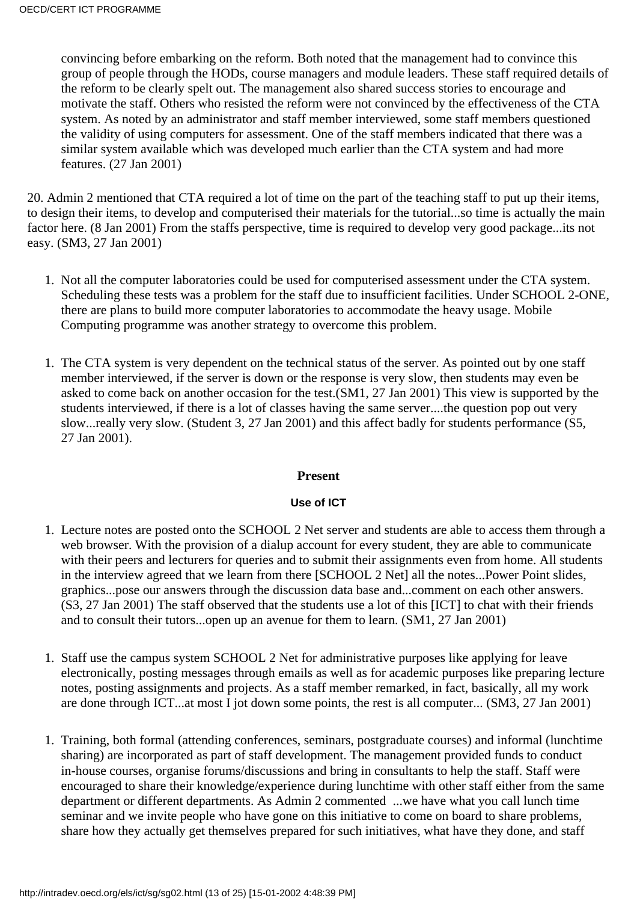convincing before embarking on the reform. Both noted that the management had to convince this group of people through the HODs, course managers and module leaders. These staff required details of the reform to be clearly spelt out. The management also shared success stories to encourage and motivate the staff. Others who resisted the reform were not convinced by the effectiveness of the CTA system. As noted by an administrator and staff member interviewed, some staff members questioned the validity of using computers for assessment. One of the staff members indicated that there was a similar system available which was developed much earlier than the CTA system and had more features. (27 Jan 2001)

20. Admin 2 mentioned that CTA required a lot of time on the part of the teaching staff to put up their items, to design their items, to develop and computerised their materials for the tutorial...so time is actually the main factor here. (8 Jan 2001) From the staff s perspective, time is required to develop very good package...it s not easy. (SM3, 27 Jan 2001)

- 1. Not all the computer laboratories could be used for computerised assessment under the CTA system. Scheduling these tests was a problem for the staff due to insufficient facilities. Under SCHOOL 2-ONE, there are plans to build more computer laboratories to accommodate the heavy usage. Mobile Computing programme was another strategy to overcome this problem.
- 1. The CTA system is very dependent on the technical status of the server. As pointed out by one staff member interviewed, if the server is down or the response is very slow, then students may even be asked to come back on another occasion for the test.(SM1, 27 Jan 2001) This view is supported by the students interviewed, if there is a lot of classes having the same server....the question pop out very slow...really very slow. (Student 3, 27 Jan 2001) and this affect badly for students performance (S5, 27 Jan 2001).

### **Present**

### **Use of ICT**

- <span id="page-12-0"></span>1. Lecture notes are posted onto the SCHOOL 2 Net server and students are able to access them through a web browser. With the provision of a dialup account for every student, they are able to communicate with their peers and lecturers for queries and to submit their assignments even from home. All students in the interview agreed that we learn from there [SCHOOL 2 Net] all the notes...Power Point slides, graphics...pose our answers through the discussion data base and...comment on each other answers. (S3, 27 Jan 2001) The staff observed that the students use a lot of this [ICT] to chat with their friends and to consult their tutors...open up an avenue for them to learn. (SM1, 27 Jan 2001)
- 1. Staff use the campus system SCHOOL 2 Net for administrative purposes like applying for leave electronically, posting messages through emails as well as for academic purposes like preparing lecture notes, posting assignments and projects. As a staff member remarked, in fact, basically, all my work are done through ICT...at most I jot down some points, the rest is all computer... (SM3, 27 Jan 2001)
- 1. Training, both formal (attending conferences, seminars, postgraduate courses) and informal (lunchtime sharing) are incorporated as part of staff development. The management provided funds to conduct in-house courses, organise forums/discussions and bring in consultants to help the staff. Staff were encouraged to share their knowledge/experience during lunchtime with other staff either from the same department or different departments. As Admin 2 commented ...we have what you call lunch time seminar and we invite people who have gone on this initiative to come on board to share problems, share how they actually get themselves prepared for such initiatives, what have they done, and staff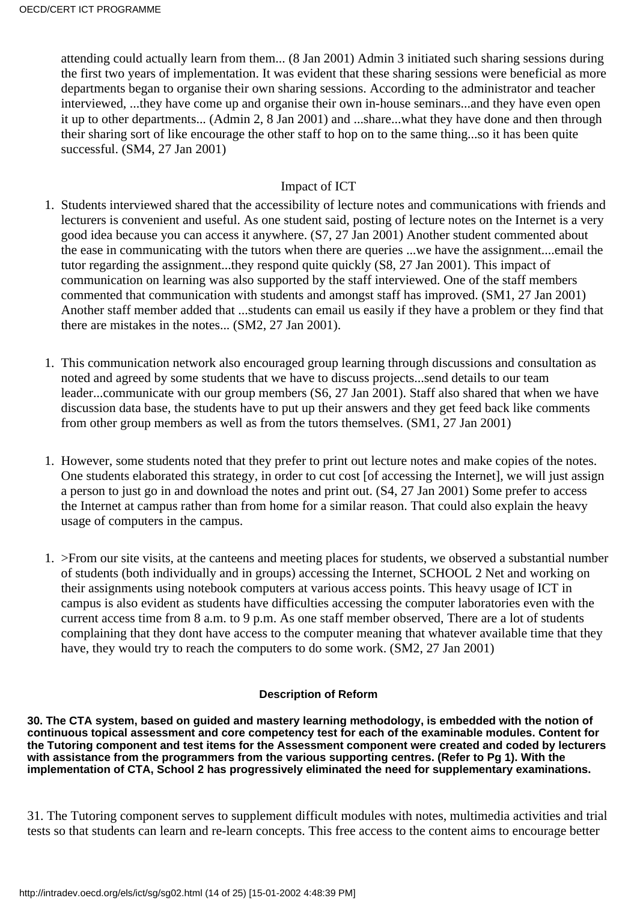attending could actually learn from them... (8 Jan 2001) Admin 3 initiated such sharing sessions during the first two years of implementation. It was evident that these sharing sessions were beneficial as more departments began to organise their own sharing sessions. According to the administrator and teacher interviewed, ...they have come up and organise their own in-house seminars...and they have even open it up to other departments... (Admin 2, 8 Jan 2001) and ...share...what they have done and then through their sharing sort of like encourage the other staff to hop on to the same thing...so it has been quite successful. (SM4, 27 Jan 2001)

### Impact of ICT

- <span id="page-13-0"></span>1. Students interviewed shared that the accessibility of lecture notes and communications with friends and lecturers is convenient and useful. As one student said, posting of lecture notes on the Internet is a very good idea because you can access it anywhere. (S7, 27 Jan 2001) Another student commented about the ease in communicating with the tutors when there are queries ...we have the assignment....email the tutor regarding the assignment...they respond quite quickly (S8, 27 Jan 2001). This impact of communication on learning was also supported by the staff interviewed. One of the staff members commented that communication with students and amongst staff has improved. (SM1, 27 Jan 2001) Another staff member added that ...students can email us easily if they have a problem or they find that there are mistakes in the notes... (SM2, 27 Jan 2001).
- 1. This communication network also encouraged group learning through discussions and consultation as noted and agreed by some students that we have to discuss projects...send details to our team leader...communicate with our group members (S6, 27 Jan 2001). Staff also shared that when we have discussion data base, the students have to put up their answers and they get feed back like comments from other group members as well as from the tutors themselves. (SM1, 27 Jan 2001)
- 1. However, some students noted that they prefer to print out lecture notes and make copies of the notes. One students elaborated this strategy, in order to cut cost [of accessing the Internet], we will just assign a person to just go in and download the notes and print out. (S4, 27 Jan 2001) Some prefer to access the Internet at campus rather than from home for a similar reason. That could also explain the heavy usage of computers in the campus.
- >From our site visits, at the canteens and meeting places for students, we observed a substantial number 1. of students (both individually and in groups) accessing the Internet, SCHOOL 2 Net and working on their assignments using notebook computers at various access points. This heavy usage of ICT in campus is also evident as students have difficulties accessing the computer laboratories even with the current access time from 8 a.m. to 9 p.m. As one staff member observed, There are a lot of students complaining that they don t have access to the computer meaning that whatever available time that they have, they would try to reach the computers to do some work. (SM2, 27 Jan 2001)

### **Description of Reform**

<span id="page-13-1"></span>**30. The CTA system, based on guided and mastery learning methodology, is embedded with the notion of continuous topical assessment and core competency test for each of the examinable modules. Content for the Tutoring component and test items for the Assessment component were created and coded by lecturers with assistance from the programmers from the various supporting centres. (Refer to Pg 1). With the implementation of CTA, School 2 has progressively eliminated the need for supplementary examinations.**

31. The Tutoring component serves to supplement difficult modules with notes, multimedia activities and trial tests so that students can learn and re-learn concepts. This free access to the content aims to encourage better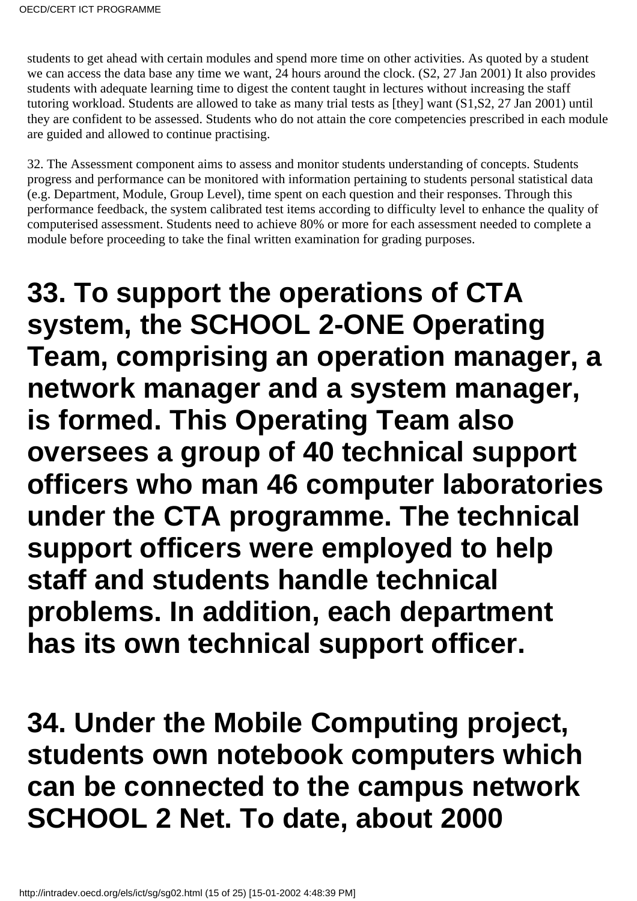students to get ahead with certain modules and spend more time on other activities. As quoted by a student we can access the data base any time we want, 24 hours around the clock. (S2, 27 Jan 2001) It also provides students with adequate learning time to digest the content taught in lectures without increasing the staff tutoring workload. Students are allowed to take as many trial tests as [they] want (S1,S2, 27 Jan 2001) until they are confident to be assessed. Students who do not attain the core competencies prescribed in each module are guided and allowed to continue practising.

32. The Assessment component aims to assess and monitor students understanding of concepts. Students progress and performance can be monitored with information pertaining to students personal statistical data (e.g. Department, Module, Group Level), time spent on each question and their responses. Through this performance feedback, the system calibrated test items according to difficulty level to enhance the quality of computerised assessment. Students need to achieve 80% or more for each assessment needed to complete a module before proceeding to take the final written examination for grading purposes.

**33. To support the operations of CTA system, the SCHOOL 2-ONE Operating Team, comprising an operation manager, a network manager and a system manager, is formed. This Operating Team also oversees a group of 40 technical support officers who man 46 computer laboratories under the CTA programme. The technical support officers were employed to help staff and students handle technical problems. In addition, each department has its own technical support officer.**

**34. Under the Mobile Computing project, students own notebook computers which can be connected to the campus network SCHOOL 2 Net. To date, about 2000**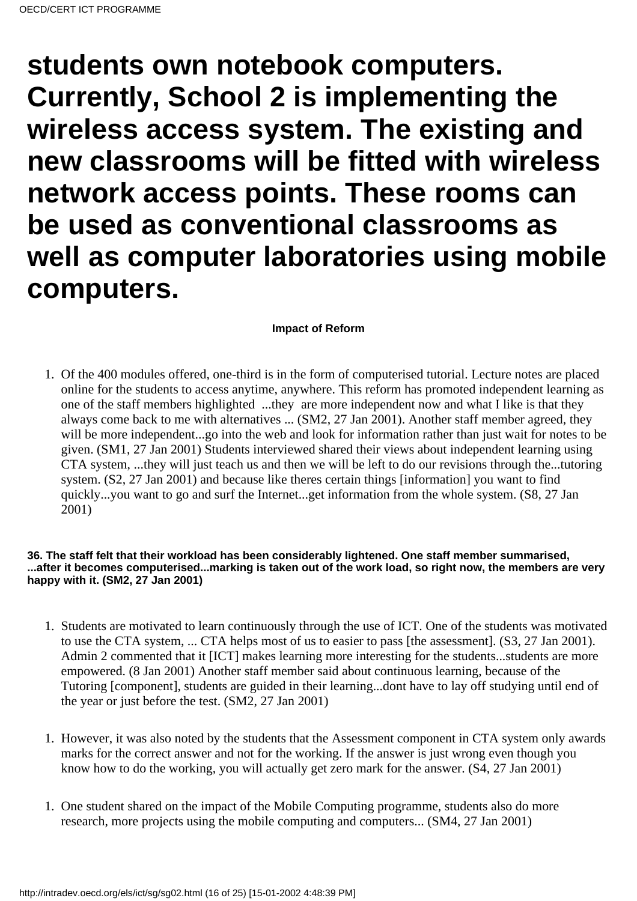**students own notebook computers. Currently, School 2 is implementing the wireless access system. The existing and new classrooms will be fitted with wireless network access points. These rooms can be used as conventional classrooms as well as computer laboratories using mobile computers.**

### **Impact of Reform**

<span id="page-15-0"></span>1. Of the 400 modules offered, one-third is in the form of computerised tutorial. Lecture notes are placed online for the students to access anytime, anywhere. This reform has promoted independent learning as one of the staff members highlighted ...they are more independent now and what I like is that they always come back to me with alternatives ... (SM2, 27 Jan 2001). Another staff member agreed, they will be more independent...go into the web and look for information rather than just wait for notes to be given. (SM1, 27 Jan 2001) Students interviewed shared their views about independent learning using CTA system, ...they will just teach us and then we will be left to do our revisions through the...tutoring system. (S2, 27 Jan 2001) and because like there s certain things [information] you want to find quickly...you want to go and surf the Internet...get information from the whole system. (S8, 27 Jan 2001)

#### **36. The staff felt that their workload has been considerably lightened. One staff member summarised, ...after it becomes computerised...marking is taken out of the work load, so right now, the members are very happy with it. (SM2, 27 Jan 2001)**

- 1. Students are motivated to learn continuously through the use of ICT. One of the students was motivated to use the CTA system, ... CTA helps most of us to easier to pass [the assessment]. (S3, 27 Jan 2001). Admin 2 commented that it [ICT] makes learning more interesting for the students...students are more empowered. (8 Jan 2001) Another staff member said about continuous learning, because of the Tutoring [component], students are guided in their learning...dont have to lay off studying until end of the year or just before the test. (SM2, 27 Jan 2001)
- 1. However, it was also noted by the students that the Assessment component in CTA system only awards marks for the correct answer and not for the working. If the answer is just wrong even though you know how to do the working, you will actually get zero mark for the answer. (S4, 27 Jan 2001)
- 1. One student shared on the impact of the Mobile Computing programme, students also do more research, more projects using the mobile computing and computers... (SM4, 27 Jan 2001)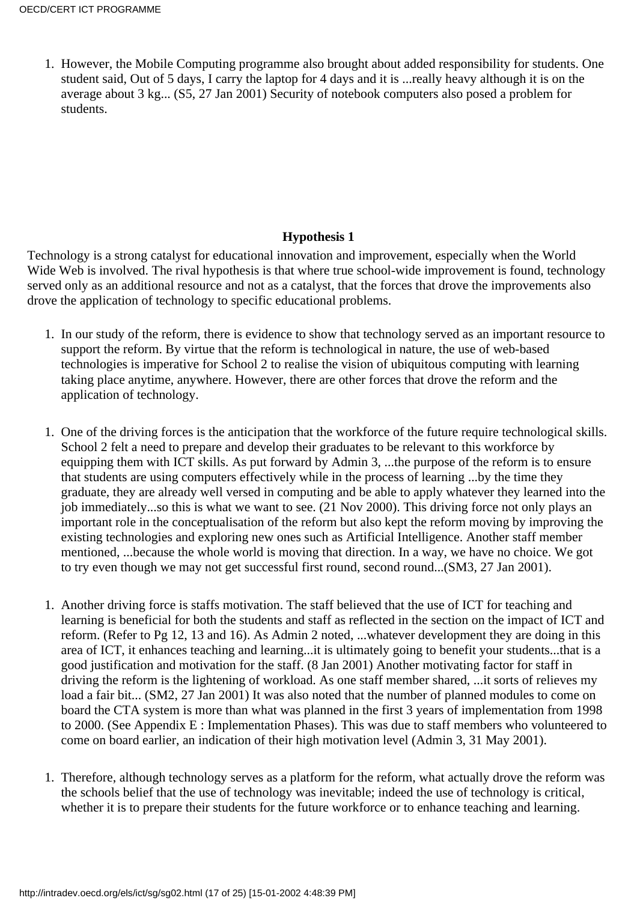1. However, the Mobile Computing programme also brought about added responsibility for students. One student said, Out of 5 days, I carry the laptop for 4 days and it is ...really heavy although it is on the average about 3 kg... (S5, 27 Jan 2001) Security of notebook computers also posed a problem for students.

### **Hypothesis 1**

<span id="page-16-0"></span>Technology is a strong catalyst for educational innovation and improvement, especially when the World Wide Web is involved. The rival hypothesis is that where true school-wide improvement is found, technology served only as an additional resource and not as a catalyst, that the forces that drove the improvements also drove the application of technology to specific educational problems.

- 1. In our study of the reform, there is evidence to show that technology served as an important resource to support the reform. By virtue that the reform is technological in nature, the use of web-based technologies is imperative for School 2 to realise the vision of ubiquitous computing with learning taking place anytime, anywhere. However, there are other forces that drove the reform and the application of technology.
- 1. One of the driving forces is the anticipation that the workforce of the future require technological skills. School 2 felt a need to prepare and develop their graduates to be relevant to this workforce by equipping them with ICT skills. As put forward by Admin 3, ...the purpose of the reform is to ensure that students are using computers effectively while in the process of learning ...by the time they graduate, they are already well versed in computing and be able to apply whatever they learned into the job immediately...so this is what we want to see. (21 Nov 2000). This driving force not only plays an important role in the conceptualisation of the reform but also kept the reform moving by improving the existing technologies and exploring new ones such as Artificial Intelligence. Another staff member mentioned, ...because the whole world is moving that direction. In a way, we have no choice. We got to try even though we may not get successful first round, second round...(SM3, 27 Jan 2001).
- 1. Another driving force is staff s motivation. The staff believed that the use of ICT for teaching and learning is beneficial for both the students and staff as reflected in the section on the impact of ICT and reform. (Refer to Pg 12, 13 and 16). As Admin 2 noted, ...whatever development they are doing in this area of ICT, it enhances teaching and learning...it is ultimately going to benefit your students...that is a good justification and motivation for the staff. (8 Jan 2001) Another motivating factor for staff in driving the reform is the lightening of workload. As one staff member shared, ...it sorts of relieves my load a fair bit... (SM2, 27 Jan 2001) It was also noted that the number of planned modules to come on board the CTA system is more than what was planned in the first 3 years of implementation from 1998 to 2000. (See Appendix E : Implementation Phases). This was due to staff members who volunteered to come on board earlier, an indication of their high motivation level (Admin 3, 31 May 2001).
- 1. Therefore, although technology serves as a platform for the reform, what actually drove the reform was the school s belief that the use of technology was inevitable; indeed the use of technology is critical, whether it is to prepare their students for the future workforce or to enhance teaching and learning.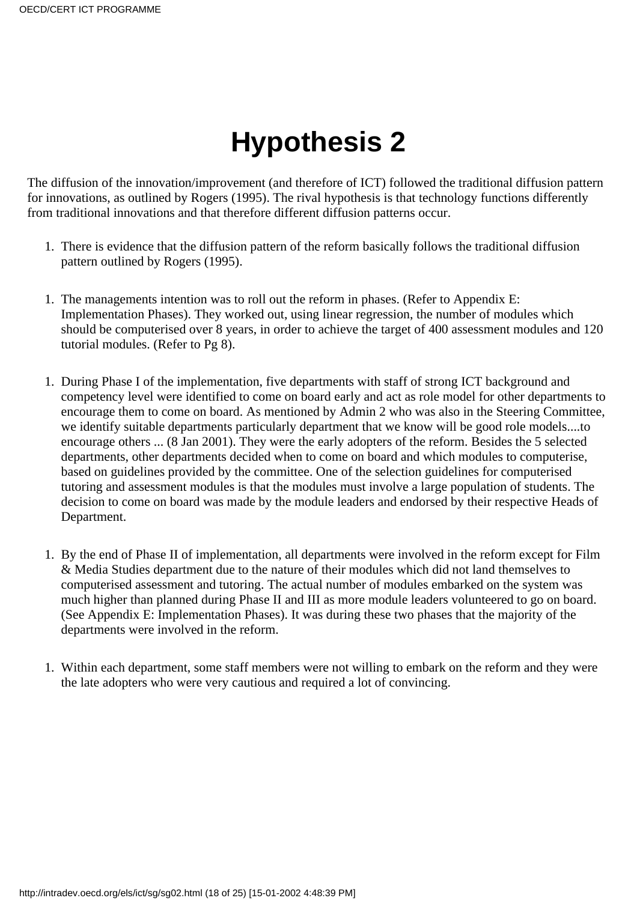# **Hypothesis 2**

<span id="page-17-0"></span>The diffusion of the innovation/improvement (and therefore of ICT) followed the traditional diffusion pattern for innovations, as outlined by Rogers (1995). The rival hypothesis is that technology functions differently from traditional innovations and that therefore different diffusion patterns occur.

- 1. There is evidence that the diffusion pattern of the reform basically follows the traditional diffusion pattern outlined by Rogers (1995).
- 1. The management s intention was to roll out the reform in phases. (Refer to Appendix E: Implementation Phases). They worked out, using linear regression, the number of modules which should be computerised over 8 years, in order to achieve the target of 400 assessment modules and 120 tutorial modules. (Refer to Pg 8).
- 1. During Phase I of the implementation, five departments with staff of strong ICT background and competency level were identified to come on board early and act as role model for other departments to encourage them to come on board. As mentioned by Admin 2 who was also in the Steering Committee, we identify suitable departments particularly department that we know will be good role models....to encourage others ... (8 Jan 2001). They were the early adopters of the reform. Besides the 5 selected departments, other departments decided when to come on board and which modules to computerise, based on guidelines provided by the committee. One of the selection guidelines for computerised tutoring and assessment modules is that the modules must involve a large population of students. The decision to come on board was made by the module leaders and endorsed by their respective Heads of Department.
- 1. By the end of Phase II of implementation, all departments were involved in the reform except for Film & Media Studies department due to the nature of their modules which did not land themselves to computerised assessment and tutoring. The actual number of modules embarked on the system was much higher than planned during Phase II and III as more module leaders volunteered to go on board. (See Appendix E: Implementation Phases). It was during these two phases that the majority of the departments were involved in the reform.
- 1. Within each department, some staff members were not willing to embark on the reform and they were the late adopters who were very cautious and required a lot of convincing.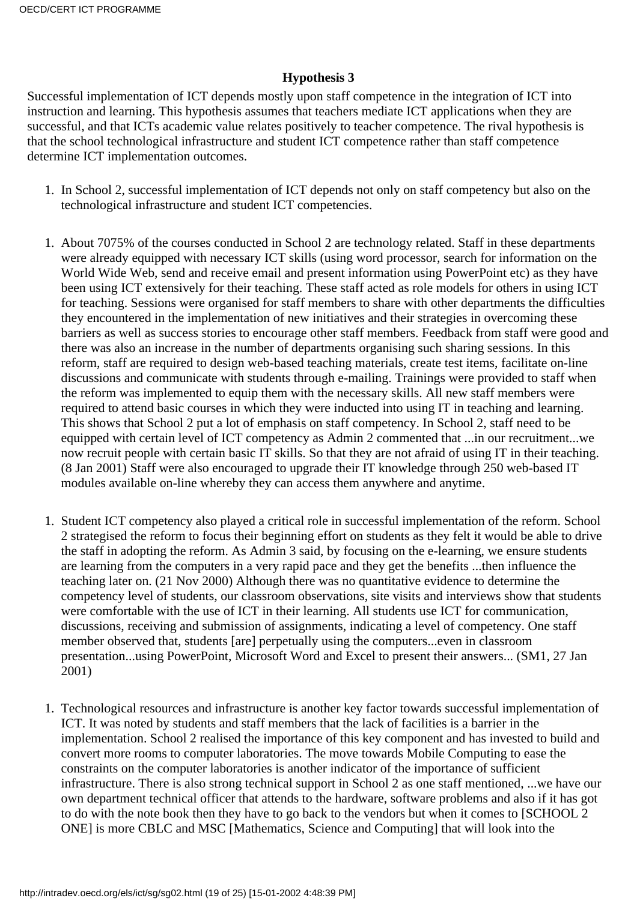### **Hypothesis 3**

<span id="page-18-0"></span>Successful implementation of ICT depends mostly upon staff competence in the integration of ICT into instruction and learning. This hypothesis assumes that teachers mediate ICT applications when they are successful, and that ICT s academic value relates positively to teacher competence. The rival hypothesis is that the school technological infrastructure and student ICT competence rather than staff competence determine ICT implementation outcomes.

- In School 2, successful implementation of ICT depends not only on staff competency but also on the 1. technological infrastructure and student ICT competencies.
- 1. About 70 75% of the courses conducted in School 2 are technology related. Staff in these departments were already equipped with necessary ICT skills (using word processor, search for information on the World Wide Web, send and receive email and present information using PowerPoint etc) as they have been using ICT extensively for their teaching. These staff acted as role models for others in using ICT for teaching. Sessions were organised for staff members to share with other departments the difficulties they encountered in the implementation of new initiatives and their strategies in overcoming these barriers as well as success stories to encourage other staff members. Feedback from staff were good and there was also an increase in the number of departments organising such sharing sessions. In this reform, staff are required to design web-based teaching materials, create test items, facilitate on-line discussions and communicate with students through e-mailing. Trainings were provided to staff when the reform was implemented to equip them with the necessary skills. All new staff members were required to attend basic courses in which they were inducted into using IT in teaching and learning. This shows that School 2 put a lot of emphasis on staff competency. In School 2, staff need to be equipped with certain level of ICT competency as Admin 2 commented that ...in our recruitment...we now recruit people with certain basic IT skills. So that they are not afraid of using IT in their teaching. (8 Jan 2001) Staff were also encouraged to upgrade their IT knowledge through 250 web-based IT modules available on-line whereby they can access them anywhere and anytime.
- 1. Student ICT competency also played a critical role in successful implementation of the reform. School 2 strategised the reform to focus their beginning effort on students as they felt it would be able to drive the staff in adopting the reform. As Admin 3 said, by focusing on the e-learning, we ensure students are learning from the computers in a very rapid pace and they get the benefits ...then influence the teaching later on. (21 Nov 2000) Although there was no quantitative evidence to determine the competency level of students, our classroom observations, site visits and interviews show that students were comfortable with the use of ICT in their learning. All students use ICT for communication, discussions, receiving and submission of assignments, indicating a level of competency. One staff member observed that, students [are] perpetually using the computers...even in classroom presentation...using PowerPoint, Microsoft Word and Excel to present their answers... (SM1, 27 Jan 2001)
- 1. Technological resources and infrastructure is another key factor towards successful implementation of ICT. It was noted by students and staff members that the lack of facilities is a barrier in the implementation. School 2 realised the importance of this key component and has invested to build and convert more rooms to computer laboratories. The move towards Mobile Computing to ease the constraints on the computer laboratories is another indicator of the importance of sufficient infrastructure. There is also strong technical support in School 2 as one staff mentioned, ...we have our own department technical officer that attends to the hardware, software problems and also if it has got to do with the note book then they have to go back to the vendors but when it comes to [SCHOOL 2 ONE] is more CBLC and MSC [Mathematics, Science and Computing] that will look into the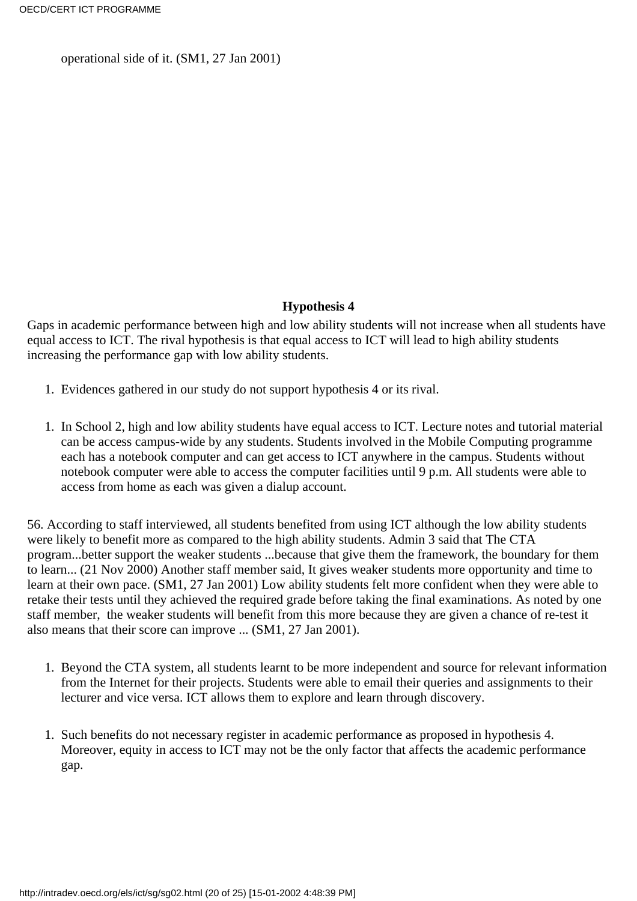operational side of it. (SM1, 27 Jan 2001)

### **Hypothesis 4**

<span id="page-19-0"></span>Gaps in academic performance between high and low ability students will not increase when all students have equal access to ICT. The rival hypothesis is that equal access to ICT will lead to high ability students increasing the performance gap with low ability students.

- 1. Evidences gathered in our study do not support hypothesis 4 or its rival.
- 1. In School 2, high and low ability students have equal access to ICT. Lecture notes and tutorial material can be access campus-wide by any students. Students involved in the Mobile Computing programme each has a notebook computer and can get access to ICT anywhere in the campus. Students without notebook computer were able to access the computer facilities until 9 p.m. All students were able to access from home as each was given a dialup account.

56. According to staff interviewed, all students benefited from using ICT although the low ability students were likely to benefit more as compared to the high ability students. Admin 3 said that The CTA program...better support the weaker students ...because that give them the framework, the boundary for them to learn... (21 Nov 2000) Another staff member said, It gives weaker students more opportunity and time to learn at their own pace. (SM1, 27 Jan 2001) Low ability students felt more confident when they were able to retake their tests until they achieved the required grade before taking the final examinations. As noted by one staff member, the weaker students will benefit from this more because they are given a chance of re-test it also means that their score can improve ... (SM1, 27 Jan 2001).

- 1. Beyond the CTA system, all students learnt to be more independent and source for relevant information from the Internet for their projects. Students were able to email their queries and assignments to their lecturer and vice versa. ICT allows them to explore and learn through discovery.
- 1. Such benefits do not necessary register in academic performance as proposed in hypothesis 4. Moreover, equity in access to ICT may not be the only factor that affects the academic performance gap.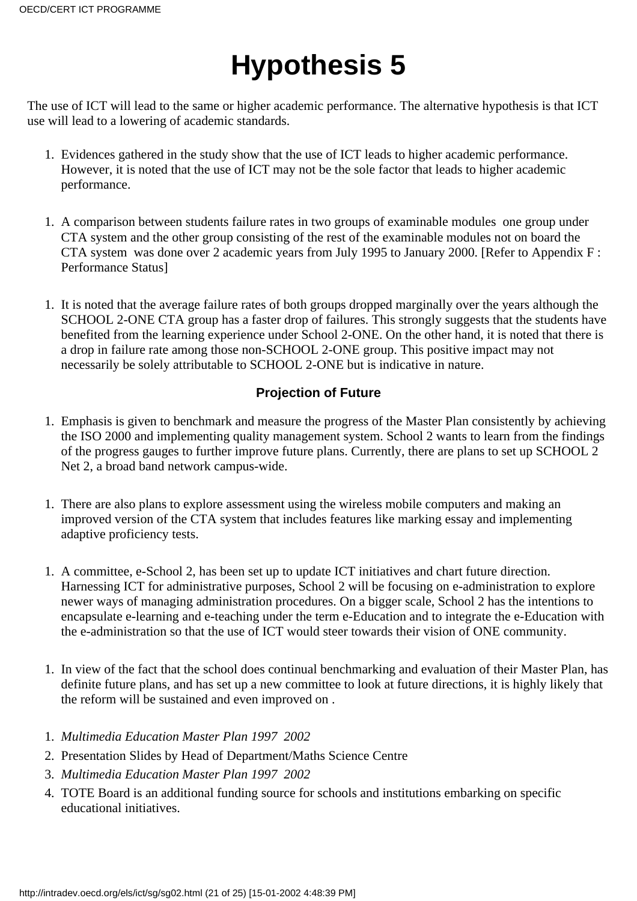# **Hypothesis 5**

<span id="page-20-0"></span>The use of ICT will lead to the same or higher academic performance. The alternative hypothesis is that ICT use will lead to a lowering of academic standards.

- 1. Evidences gathered in the study show that the use of ICT leads to higher academic performance. However, it is noted that the use of ICT may not be the sole factor that leads to higher academic performance.
- 1. A comparison between students failure rates in two groups of examinable modules one group under CTA system and the other group consisting of the rest of the examinable modules not on board the CTA system was done over 2 academic years from July 1995 to January 2000. [Refer to Appendix F : Performance Status]
- 1. It is noted that the average failure rates of both groups dropped marginally over the years although the SCHOOL 2-ONE CTA group has a faster drop of failures. This strongly suggests that the students have benefited from the learning experience under School 2-ONE. On the other hand, it is noted that there is a drop in failure rate among those non-SCHOOL 2-ONE group. This positive impact may not necessarily be solely attributable to SCHOOL 2-ONE but is indicative in nature.

### **Projection of Future**

- <span id="page-20-1"></span>Emphasis is given to benchmark and measure the progress of the Master Plan consistently by achieving 1. the ISO 2000 and implementing quality management system. School 2 wants to learn from the findings of the progress gauges to further improve future plans. Currently, there are plans to set up SCHOOL 2 Net 2, a broad band network campus-wide.
- 1. There are also plans to explore assessment using the wireless mobile computers and making an improved version of the CTA system that includes features like marking essay and implementing adaptive proficiency tests.
- A committee, e-School 2, has been set up to update ICT initiatives and chart future direction. 1. Harnessing ICT for administrative purposes, School 2 will be focusing on e-administration to explore newer ways of managing administration procedures. On a bigger scale, School 2 has the intentions to encapsulate e-learning and e-teaching under the term e-Education and to integrate the e-Education with the e-administration so that the use of ICT would steer towards their vision of ONE community.
- 1. In view of the fact that the school does continual benchmarking and evaluation of their Master Plan, has definite future plans, and has set up a new committee to look at future directions, it is highly likely that the reform will be sustained and even improved on .
- 1. *Multimedia Education Master Plan 1997 2002*
- 2. Presentation Slides by Head of Department/Maths Science Centre
- 3. *Multimedia Education Master Plan 1997 2002*
- TOTE Board is an additional funding source for schools and institutions embarking on specific 4. educational initiatives.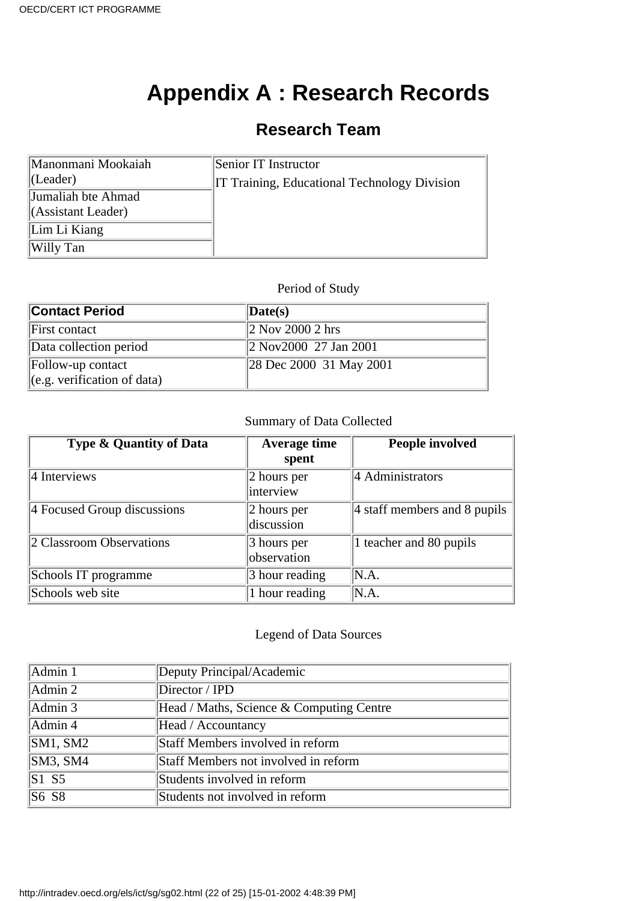## **Appendix A : Research Records**

## **Research Team**

<span id="page-21-0"></span>

| Manonmani Mookaiah          | Senior IT Instructor                                |
|-----------------------------|-----------------------------------------------------|
| $ $ (Leader)                | <b>IT Training, Educational Technology Division</b> |
| Jumaliah bte Ahmad          |                                                     |
| $\Lambda$ Sasistant Leader) |                                                     |
| Lim Li Kiang                |                                                     |
| Willy Tan                   |                                                     |

### Period of Study

| <b>Contact Period</b>                 | $\langle$ Date(s)                                 |
|---------------------------------------|---------------------------------------------------|
| First contact                         | $\ 2 \text{ Nov } 2000\ 2 \text{ hrs}\ $          |
| Data collection period                | $\ 2 \text{ Nov} 2000 \quad 27 \text{ Jan } 2001$ |
| Follow-up contact                     | 28 Dec 2000 31 May 2001                           |
| $\left\ $ (e.g. verification of data) |                                                   |

### Summary of Data Collected

| <b>Type &amp; Quantity of Data</b> | <b>Average time</b><br>spent     | People involved                           |
|------------------------------------|----------------------------------|-------------------------------------------|
| $\parallel$ 4 Interviews           | $ 2$ hours per<br>interview      | 4 Administrators                          |
| 4 Focused Group discussions        | $ 2$ hours per<br>discussion     | $ 4 \times 1 $ staff members and 8 pupils |
| 2 Classroom Observations           | $\beta$ hours per<br>observation | 1 teacher and 80 pupils                   |
| School s IT programme              | 3 hour reading                   | N.A.                                      |
| School s web site                  | 1 hour reading                   | N.A.                                      |

### Legend of Data Sources

| Admin 1            | Deputy Principal/Academic                |
|--------------------|------------------------------------------|
| Admin 2            | Director / IPD                           |
| Admin 3            | Head / Maths, Science & Computing Centre |
| Admin 4            | Head / Accountancy                       |
| SM1, SM2           | Staff Members involved in reform         |
| SM3, SM4           | Staff Members not involved in reform     |
| $\overline{S1}$ S5 | Students involved in reform              |
| S6 S8              | Students not involved in reform          |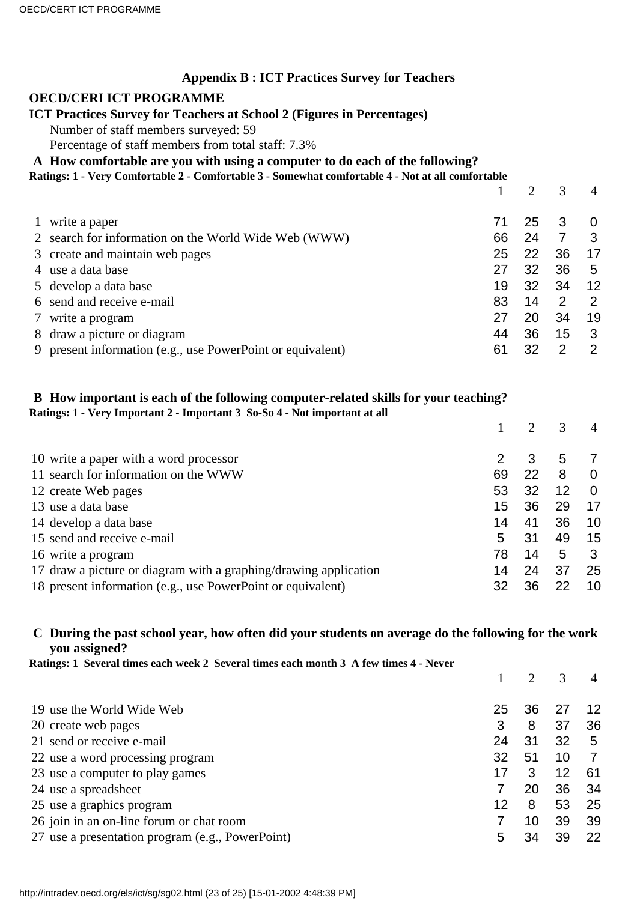### **Appendix B : ICT Practices Survey for Teachers**

### <span id="page-22-0"></span>**OECD/CERI ICT PROGRAMME**

### **ICT Practices Survey for Teachers at School 2 (Figures in Percentages)**

Number of staff members surveyed: 59

Percentage of staff members from total staff: 7.3%

### **A How comfortable are you with using a computer to do each of the following?**

|  |  | Ratings: 1 - Very Comfortable 2 - Comfortable 3 - Somewhat comfortable 4 - Not at all comfortable |  |
|--|--|---------------------------------------------------------------------------------------------------|--|
|  |  |                                                                                                   |  |
|  |  |                                                                                                   |  |
|  |  |                                                                                                   |  |

|              |                                                            |    |    |    | 4        |
|--------------|------------------------------------------------------------|----|----|----|----------|
| $\mathbf{1}$ | write a paper                                              | 71 | 25 | 3  | $\Omega$ |
|              | 2 search for information on the World Wide Web (WWW)       | 66 | 24 |    | 3        |
|              | 3 create and maintain web pages                            | 25 | 22 | 36 | 17       |
|              | 4 use a data base                                          | 27 | 32 | 36 | 5        |
|              | 5 develop a data base                                      | 19 | 32 | 34 | 12       |
|              | 6 send and receive e-mail                                  | 83 | 14 | 2  | 2        |
|              | 7 write a program                                          | 27 | 20 | 34 | 19       |
|              | 8 draw a picture or diagram                                | 44 | 36 | 15 | 3        |
|              | 9 present information (e.g., use PowerPoint or equivalent) | 61 | 32 | 2  | 2        |
|              |                                                            |    |    |    |          |

### **B How important is each of the following computer-related skills for your teaching? Ratings: 1 - Very Important 2 - Important 3 So-So 4 - Not important at all**

| 10 write a paper with a word processor                           |    |    | 5  |          |
|------------------------------------------------------------------|----|----|----|----------|
| 11 search for information on the WWW                             | 69 | 22 | 8  | 0        |
| 12 create Web pages                                              | 53 | 32 | 12 | $\Omega$ |
| 13 use a data base                                               | 15 | 36 | 29 | 17       |
| 14 develop a data base                                           | 14 | 41 | 36 | 10       |
| 15 send and receive e-mail                                       | 5  | 31 | 49 | 15       |
| 16 write a program                                               | 78 | 14 | 5  |          |
| 17 draw a picture or diagram with a graphing/drawing application | 14 | 24 | 37 | 25       |
| 18 present information (e.g., use PowerPoint or equivalent)      | 32 | 36 |    | 10       |

### **C During the past school year, how often did your students on average do the following for the work you assigned?**

**Ratings: 1 Several times each week 2 Several times each month 3 A few times 4 - Never**

|                                                  |    | $\mathcal{D}$ | 3  |     |
|--------------------------------------------------|----|---------------|----|-----|
| 19 use the World Wide Web                        | 25 | 36            |    | 12  |
| 20 create web pages                              | 3  | 8             | 37 | 36  |
| 21 send or receive e-mail                        | 24 | 31            | 32 | 5   |
| 22 use a word processing program                 | 32 | 51            | 10 |     |
| 23 use a computer to play games                  | 17 | 3             | 12 | -61 |
| 24 use a spreadsheet                             |    | 20            | 36 | 34  |
| 25 use a graphics program                        | 12 | 8             | 53 | 25  |
| 26 join in an on-line forum or chat room         |    | 10            | 39 | 39  |
| 27 use a presentation program (e.g., PowerPoint) | 5  | 34            | 39 | 22  |
|                                                  |    |               |    |     |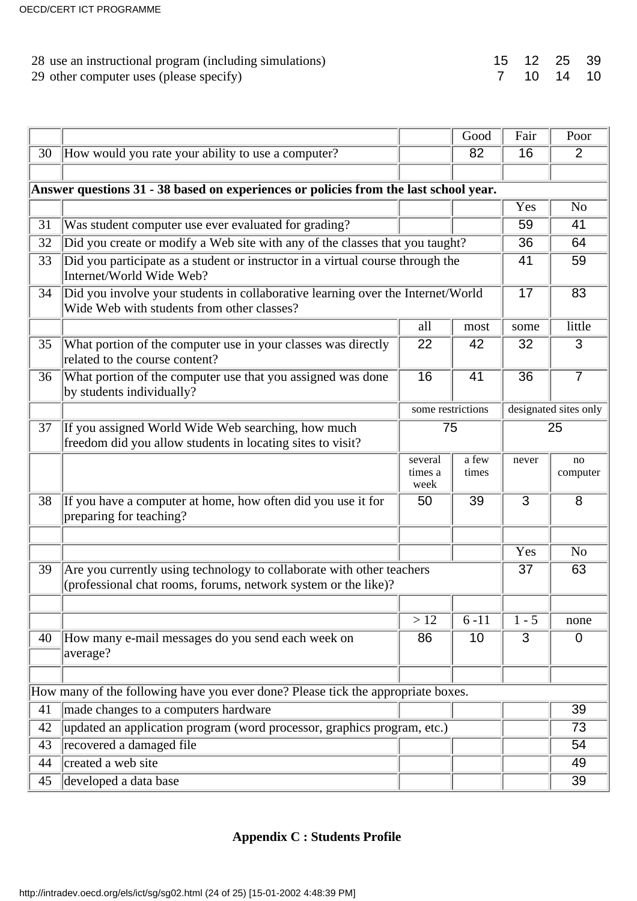| 28 use an instructional program (including simulations) |  | 15 12 25 39 |  |
|---------------------------------------------------------|--|-------------|--|
| 29 other computer uses (please specify)                 |  | 7 10 14 10  |  |

|    |                                                                                                                                         |                            | Good           | Fair            | Poor                  |
|----|-----------------------------------------------------------------------------------------------------------------------------------------|----------------------------|----------------|-----------------|-----------------------|
| 30 | How would you rate your ability to use a computer?                                                                                      |                            | 82             | 16              | 2                     |
|    |                                                                                                                                         |                            |                |                 |                       |
|    | Answer questions 31 - 38 based on experiences or policies from the last school year.                                                    |                            |                |                 |                       |
|    |                                                                                                                                         |                            |                | Yes             | N <sub>o</sub>        |
| 31 | Was student computer use ever evaluated for grading?                                                                                    |                            |                | 59              | 41                    |
| 32 | Did you create or modify a Web site with any of the classes that you taught?                                                            |                            |                | 36              | 64                    |
| 33 | Did you participate as a student or instructor in a virtual course through the<br>Internet/World Wide Web?                              |                            |                | 41              | 59                    |
| 34 | Did you involve your students in collaborative learning over the Internet/World<br>Wide Web with students from other classes?           |                            |                | $\overline{17}$ | 83                    |
|    |                                                                                                                                         | all                        | most           | some            | little                |
| 35 | What portion of the computer use in your classes was directly<br>related to the course content?                                         | 22                         | 42             | 32              | 3                     |
| 36 | What portion of the computer use that you assigned was done<br>by students individually?                                                | 16                         | 41             | $\overline{36}$ | $\overline{7}$        |
|    |                                                                                                                                         | some restrictions          |                |                 | designated sites only |
| 37 | If you assigned World Wide Web searching, how much<br>freedom did you allow students in locating sites to visit?                        | 75                         |                |                 | 25                    |
|    |                                                                                                                                         | several<br>times a<br>week | a few<br>times | never           | no<br>computer        |
| 38 | If you have a computer at home, how often did you use it for<br>preparing for teaching?                                                 | 50                         | 39             | 3               | 8                     |
|    |                                                                                                                                         |                            |                |                 |                       |
|    |                                                                                                                                         |                            |                | Yes             | N <sub>o</sub>        |
| 39 | Are you currently using technology to collaborate with other teachers<br>(professional chat rooms, forums, network system or the like)? |                            |                | 37              | 63                    |
|    |                                                                                                                                         | >12                        | $6 - 11$       | $1 - 5$         | none                  |
| 40 | How many e-mail messages do you send each week on<br>average?                                                                           | 86                         | 10             | 3               | $\overline{0}$        |
|    | How many of the following have you ever done? Please tick the appropriate boxes.                                                        |                            |                |                 |                       |
| 41 | made changes to a computer s hardware                                                                                                   |                            |                |                 | 39                    |
| 42 | updated an application program (word processor, graphics program, etc.)                                                                 |                            |                |                 | 73                    |
| 43 | recovered a damaged file                                                                                                                |                            |                |                 | 54                    |
| 44 | created a web site                                                                                                                      |                            |                |                 | 49                    |
| 45 | developed a data base                                                                                                                   |                            |                |                 | 39                    |
|    |                                                                                                                                         |                            |                |                 |                       |

### <span id="page-23-0"></span>**Appendix C : Students Profile**